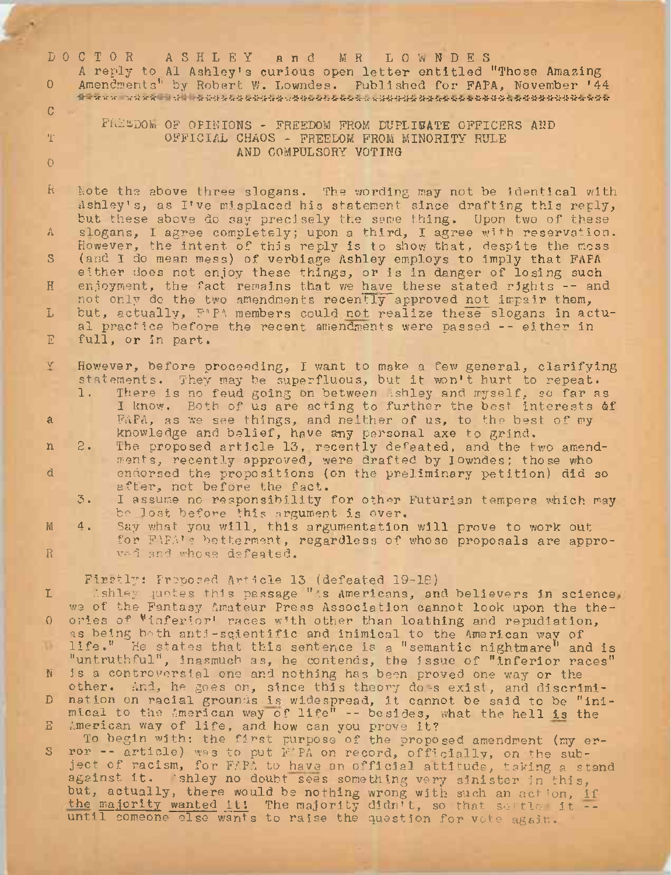| $\Omega$<br>$\mathbb{C}$<br>尘    | DOCTOR ASHLEY and MR LOWNDES<br>A reply to Al Ashley's curious open letter entitled "Those Amazing<br>Amendments" by Robert W. Lowndes. Published for FAPA, November '44<br>ि पाल्का का कर्मकर्म । इन्द्र । अर्थनं अर्थश्रेष्ठभेश्रेष्ठभेश्रेष्ठभेश्रेष्ठश्रेष्ठभेश्रेष्ठभेश्रेष्ठश्रेष्ठश्रेष्ठभेश्रेष्ठभेश्रेष्ठभेश्रेष्ठभेश्रेष्ठभेश्रेष्ठभेश्रेष्ठभेश्रेष्ठभेश्रेष्ठभेश्रेष्ठभेश्रेष्ठभेश्रेष्ठभेश्<br>FREEDOM OF OPINIONS - FREEDOM FROM DUPLICATE OFFICERS AND<br>OFFICIAL CHAOS - FREEDOM FROM MINORITY RULE                                                                                                                                                                                                                                                                                                                                         |
|----------------------------------|-------------------------------------------------------------------------------------------------------------------------------------------------------------------------------------------------------------------------------------------------------------------------------------------------------------------------------------------------------------------------------------------------------------------------------------------------------------------------------------------------------------------------------------------------------------------------------------------------------------------------------------------------------------------------------------------------------------------------------------------------------------------------------------------------------------------------------------------------------------|
| $\circ$                          | AND COMPULSORY VOTING                                                                                                                                                                                                                                                                                                                                                                                                                                                                                                                                                                                                                                                                                                                                                                                                                                       |
| R.<br>A<br>S.<br>H<br>L          | Note the above three slogans. The wording may not be identical with<br>ashley's, as I've misplaced his statement since drafting this reply,<br>but these above do say precisely the same thing. Upon two of these<br>slogans, I agree completely; upon a third, I agree with reservation.<br>However, the intent of this reply is to show that, despite the moss<br>(and I do mean mess) of verbiage Ashley employs to imply that FAPA<br>either does not enjoy these things, or is in danger of losing such<br>enjoyment, the fact remains that we have these stated rights -- and<br>not only de the two amendments recently approved not impair them,<br>but, actually, FAPA members could not realize these slogans in actu-                                                                                                                            |
| E                                | al practice before the recent amendments were passed -- either in<br>full, or in part.                                                                                                                                                                                                                                                                                                                                                                                                                                                                                                                                                                                                                                                                                                                                                                      |
| Y<br>$\mathbf{a}$<br>n<br>đ<br>M | However, before proceeding, I want to make a few general, clarifying<br>statements. They may be superfluous, but it won't hurt to repeat.<br>There is no feud going on between ishley and myself, so far as<br>1.<br>I know. Both of us are acting to further the best interests of<br>FAPA, as we see things, and neither of us, to the best of my<br>knowledge and belief, have any personal axe to grind.<br>The proposed article 13, recently defeated, and the two amend-<br>$2 -$<br>ments, recently approved, were drafted by Iowndes; those who<br>endorsed the propositions (on the preliminary petition) did so<br>after, not before the fact.<br>I assume no responsibility for other Futurian tempers which may<br>3.<br>be lost before this argument is over.<br>Say what you will, this argumentation will prove to work out<br>$\frac{4}{4}$ |
| R                                | for FAPA's betterment, regardless of whose proposals are appro-<br>vad and whose defeated.                                                                                                                                                                                                                                                                                                                                                                                                                                                                                                                                                                                                                                                                                                                                                                  |
| L<br>$\Omega$<br>D               | Firstly: Proposed Anticle 13 (defeated 19-18)<br>Ushley quotes this passage "As Americans, and believers in science,<br>we of the Fantasy Amateur Press Association cannot look upon the the-<br>ories of "inferior" races with other than loathing and repudiation,<br>as being both anti-scientific and inimical to the American way of<br>life." He states that this sentence is a "semantic nightmare" and is                                                                                                                                                                                                                                                                                                                                                                                                                                           |
| $\mathbf{N}$                     | "untruthful", inasmuch as, he contends, the issue of "inferior races"<br>is a controversial one and nothing has been proved one way or the                                                                                                                                                                                                                                                                                                                                                                                                                                                                                                                                                                                                                                                                                                                  |
| D.                               | other. And, he goes on, since this theory does exist, and discrimi-<br>nation on racial grounds is widespread, it cannot be said to be "ini-                                                                                                                                                                                                                                                                                                                                                                                                                                                                                                                                                                                                                                                                                                                |
| $\mathbf{E}$                     | mical to the American way of life" -- besides, what the hell is the<br>American way of life, and how can you prove it?                                                                                                                                                                                                                                                                                                                                                                                                                                                                                                                                                                                                                                                                                                                                      |
| S.                               | To begin with: the first purpose of the proposed amendment (my er-<br>ror -- article) was to put F'PA on record, officially, on the sub-<br>ject of racism, for FAPA to have an official attitude, taking a stand<br>against it. 'shley no doubt sees something very sinister in this,                                                                                                                                                                                                                                                                                                                                                                                                                                                                                                                                                                      |

but, actually, there would be nothing wrong with such an action, if<br>the majority wanted it! The majority didn't, so that so'tle it -until someone else wants to raise the question for vote again.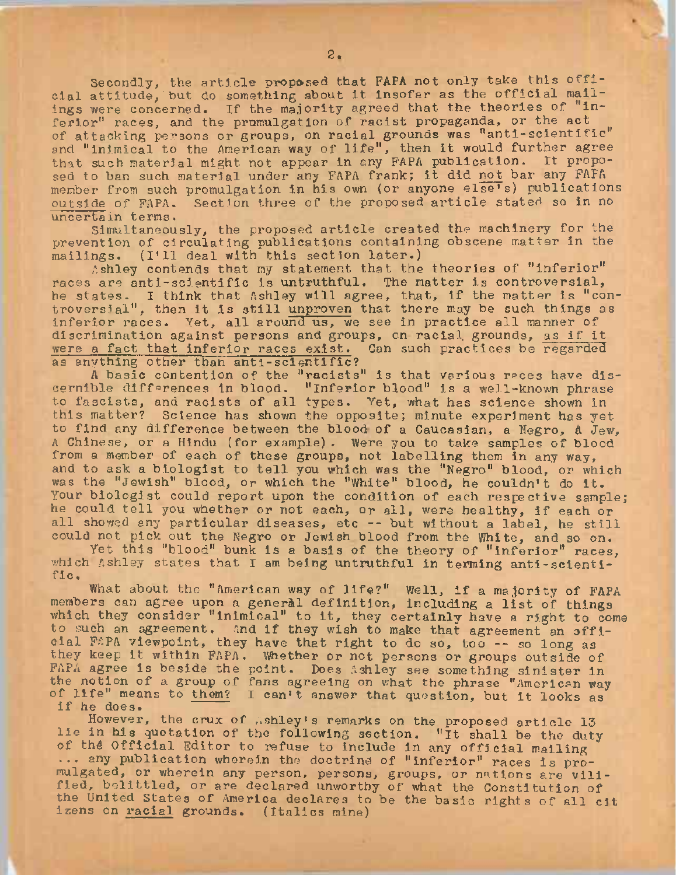Secondly, the article proposed that FAPA not only take this official attitude,'but do something about it insofar as the official mailings were concerned. If the majority agreed that the theories of "inferior" races, and the promulgation of racist propaganda, or the act of attacking persons or groups, on racial grounds was "anti-scientific" and "inimical to the American way of life", then it would further agree that such material might not appear in any FAPA publication. It proposed to ban such material under any FAPA frank; it did not bar any FAPA member from such promulgation in his own (or anyone else's) publications outside of FAPA. Section three of the proposed article stated so in no uncertain terms.

Simultaneously, the proposed article created the machinery for the prevention of circulating publications containing obscene matter in the mailings. (I'll deal with this section later.)

Ashley contends that my statement that the theories of "inferior" races are anti-scientific is untruthful. The matter is controversial, he states. I think that Ashley will agree, that, if the matter is "conne states. I think that ashley will agree, that, if the matter is controversial", then it is still unproven that there may be such things as inferior races. Yet, all around us, we see in practice all manner of discrimination against persons and groups, on racial grounds, as if it were a fact that inferior races exist. Can such practices be regarded as anything other than anti-scientific?

<sup>A</sup> basic contention of the "racists" is that various races have discernible differences in blood. "Inferior blood" is a well-known phrase to fascists, and racists of all types. Vet, what has science shown in this matter? Science has shown the opposite; minute experiment has yet to find any difference between the blood of a Caucasian, a Negro, <sup>A</sup> Jew, <sup>A</sup> Chinese, or a Hindu (for example). Were you to take samples of blood from <sup>a</sup> member of each of these groups, not labelling them in any way, a member of each of these groups, not facefing them in any way,<br>and to ask a biologist to tell you which was the "Negro" blood, or which and to ask a biologist to tell you which was the "Negro" blood, or which<br>was the "Jewish" blood, or which the "White" blood, he couldn't do it. Your biologist could report upon the condition of each respective sample; he could tell you whether or not each, or all, were healthy, if each or all showed any particular diseases, etc -- but without <sup>a</sup> label, he still could not pick out the Negro or Jewish blood from the White, and so on.

Yet this "blood" bunk Is a basis of the theory of "Inferior" races, which Ashley states that I am being untruthful in terming anti-scientific.

What about the "American way of life?" Well, if <sup>a</sup> majority of FAPA members can agree upon <sup>a</sup> general definition, including <sup>a</sup> list of things which they consider "inimical" to it, they certainly have <sup>a</sup> right to come to such an agreement. And if they wish to make that agreement an official FAPA viewpoint, they have that right to do so, too -- so long as they keep it within FAPA. Whether or not persons or groups outside of FAPA agree is beside the point. Does Ashley see something sinister in the notion of a group of fans agreeing on what the phrase "American way<br>of life" means to them? I can't answer that question, but it looks as i file mea<br>if he does.

if he does.<br>However, the crux of .shley's remarks on the proposed article 13 lie in his quotation of the following section. "It shall be the duty of the Official Editor to refuse to include in any official mailing ... any publication wherein the doctrine of "inferior" races is promulgated, or wherein any person, persons, groups, or nations are vilified, belittled, or are declared unworthy of what the Constitution of the United States of America declares to be the basic rights of all cit izens on racial grounds. (Italics mine)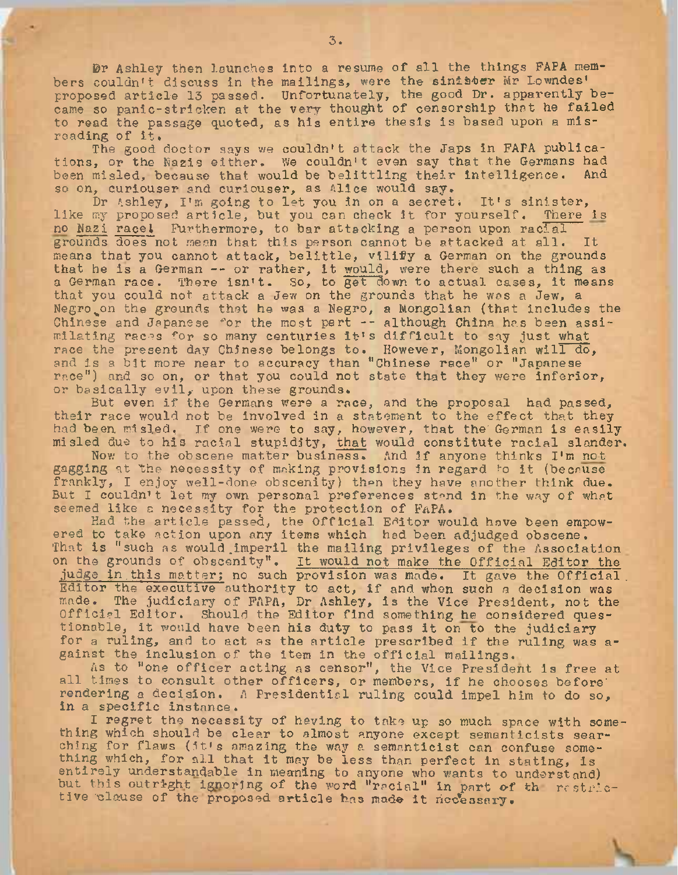Dr Ashley then launches into <sup>a</sup> resume of all the things FAPA members couldn't discuss in the mailings, were the sinister Mr Lowndes' proposed article <sup>13</sup> passed. Unfortunately, the good Dr. apparently became so panic-stricken at the very thought of censorship that he failed to read the passage quoted, as his entire thesis is based upon a misreading of it.

The good doctor says we couldn't attack the Japs in FAPA publications, or the Nazis either. We couldn't even say that the Germans had the and the Sermans had been misled, because that would be belittling their intelligence. so on, curiouser and curiouser, as Alice would say.

, curiouser and curiouser, as allee would say.<br>Dr Ashley, I'm going to let you in on a secret. It's sinister, Dr assig, i'm going to fet you in on a secret. It's sinister, no Nazi racel Furthermore, to bar attacking a person upon racial grounds does not mean that this person cannot be attacked at all. It means that you cannot attack, belittle, vilify a German on the grounds that he is <sup>a</sup> German -- or rather, it would, were there such <sup>a</sup> thing as <sup>a</sup> German race. There Isn't. So, to get down to actual cases, it means that you could not attack a Jew on the grounds that he was a Jew, a Negro on the grounds that he was a Negro, a Mongolian (that includes the Chinese and Japanese for the most part -- although China has been assimilating races for so many centuries it's difficult to say just what race the present day Chinese belongs to. However, Mongolian will do, and is <sup>a</sup> bit more near to accuracy than "Chinese race" or "Japanese race") and so on, or that you could not state that they were inferior, or basically evil, upon these grounds.

But even if the Germans were <sup>a</sup> race, and the proposal had passed, their race would not be involved in a statement to the effect that they had been misled. If one were to say, however, that the German is easily misled due to his racial stupidity, that would constitute racial slander.

Now to the obscene matter business. And if anyone thinks I'm not gagging at the necessity of making provisions in regard ^o it (because frankly, I enjoy well-done obscenity) then they have another think due. But I couldn't let my own personal preferences stand in the way of what seemed like a necessity for the protection of FaPA.

Had the article passed, the Official Editor would have been empowered to take action upon any items which had been adjudged obscene. That is "such as would imperil the mailing privileges of the Association on the grounds of obscenity". It would not make the Official Editor the judge in this matter; no such provision was made. It gave the Official judge in this matter; no such provision was made. It gave the Official .<br>Editor the executive authority to act, if and when such a decision was made. The judiciary of FAPA, Dr Ashley, is the Vice President, not the Official Editor. Should the Editor find something he considered questionable, it would have been his duty to pass it on to the judiciary for a ruling, and to act as the article prescribed if the ruling was against the inclusion of the item in the official mailings.

As to "one officer acting as censor", the Vice President is free at all times to consult other officers, or members, if he chooses before' rendering a decision. <sup>A</sup> Presidential ruling could impel him to do so, in a specific instance.

I regret the necessity of having to take up so much space with something which should be clear to almost anyone except semanticists searching for flaws (it's amazing the way a semanticist can confuse something which, for all that it may be less than perfect In stating, is entirely understandable in meaning to anyone who wants to understand) but this outright ignoring of the word "racial" in part of th restrictive clause of the proposed article has made it necessary.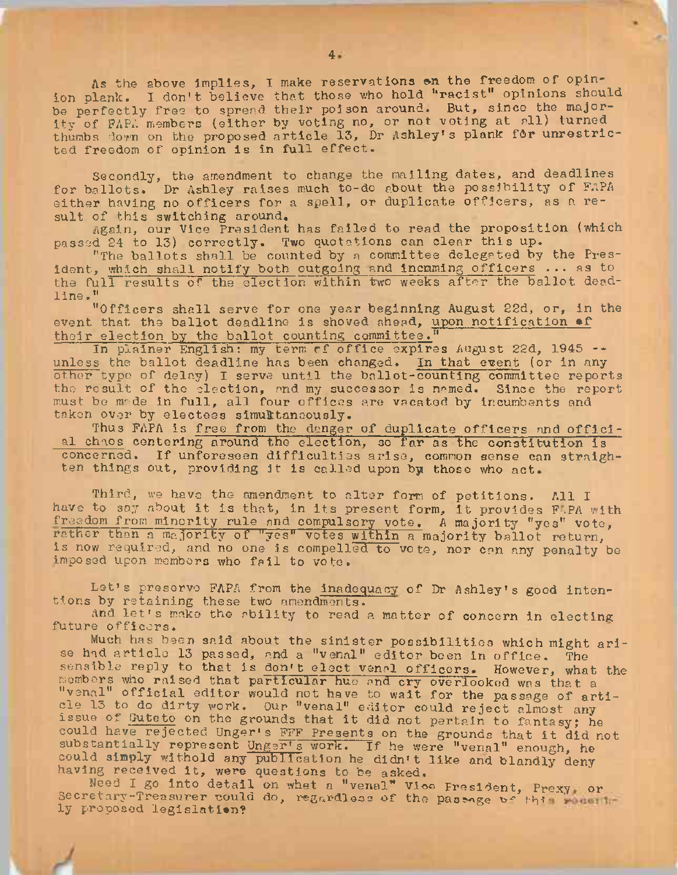As the above implies, I make reservations on the freedom of opinion plank. I don't believe that those who hold "racist" opinions should be perfectly free to spread their poison around. But, since the majority of FAPA members (either by voting no, or not voting at all) turned thumbs down on the proposed article 13, Dr Ashley's plank for unrestricted freedom of opinion is in full effect.

Secondly, the amendment to change the mailing dates, and deadlines for ballots. Dr Ashley raises much to-do about the possibility of FAPA either having no officers for <sup>a</sup> spell, or duplicate officers, as <sup>a</sup> result of this switching around.

Again, our Vice President has failed to read the proposition (which passed <sup>24</sup> to 13) correctly. Two quotations can clear this up.

"The ballots shall be counted by <sup>a</sup> committee delegated by the President, which shall notify both outgoing and Incoming officers ... as to the full results of the election within two weeks after the ballot deadline . "

"Officers shall serve for one year beginning August 22d, or, in the event that the ballot deadline is shoved ahead, upon notification of their election by the ballot counting committee.

In plainer English: my term rf office expires August 22d, <sup>1945</sup> - unless the ballot deadline has been changed. In that event (or in any other typo of delay) I serve until the ballot-counting committee reports the result of the election, and my successor is named. Since the report must be made in full, all four offices are vacated by Incumbents and taken over by electees simultaneously.

Thus FAPA is free from the danger of duplicate officers and official chaos centering around the election, so far as the constitution is concerned. If unforeseen difficulties arise, common sense can straighten things out, providing it is called upon by those who act.

Third, we have the amendment to alter form of petitions. All I have to say about it is that, in its present form, it provides F-PA with freedom from minority rule and compulsory vote. <sup>A</sup> majority "yes" vote, rather than a majority of "yes" votes within a majority ballot return, is now required, and no one is compelled to vote, nor can any penalty be imposed upon members who fail to vote.

Let's preserve FAPA from the inadequacy of Dr Ashley'<sup>s</sup> good intentions by retaining these two amendments.

And let'<sup>s</sup> make the ability to read <sup>a</sup> matter of concern in electing future officers.

Much has been said about the sinister possibilities which might arise had article <sup>13</sup> passed, and <sup>a</sup> "venal" editor been in office. The sensible reply to that is don't elect <sup>v</sup>enal officers. However, what the members who raised that particular hue and cry overlooked was that a scale is who raised that particular nue and cry overlooked was that a<br>"venal" official editor would not have to wait for the passage of article <sup>13</sup> to do dirty work. Our "venal" editor could reject almost any issue of Guteto on the grounds that it did not pertain to fantasy; he could have rejected Unger's FFF Presents on the grounds that it did not substantially represent Unger's work. If he were "venal" enough, he could simply withold any publication he didn't like and blandly deny having received it, were questions to be asked.

Need I go into detail on what a "venal" Vioe Fresident, Prexy or Secretary-Treasurer could do, regardless of the passage of this result ly proposed legislation?